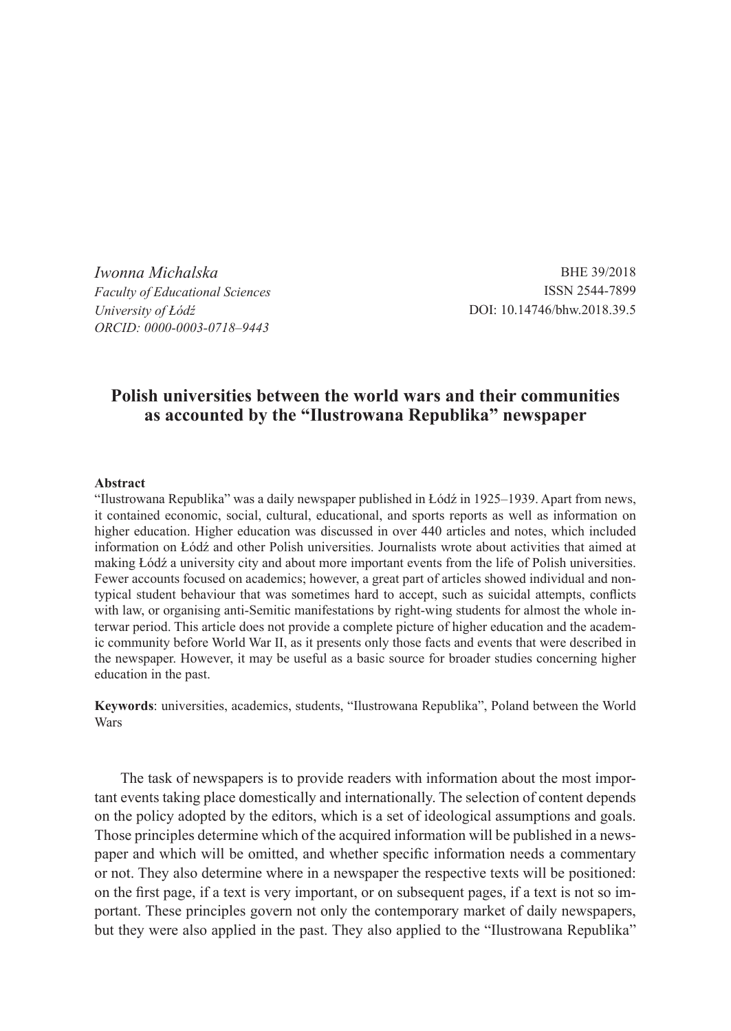*Iwonna Michalska Faculty of Educational Sciences University of Łódź ORCID: 0000-0003-0718–9443*

BHE 39/2018 ISSN 2544-7899 DOI: 10.14746/bhw.2018.39.5

# **Polish universities between the world wars and their communities as accounted by the "Ilustrowana Republika" newspaper**

#### **Abstract**

"Ilustrowana Republika" was a daily newspaper published in Łódź in 1925–1939. Apart from news, it contained economic, social, cultural, educational, and sports reports as well as information on higher education. Higher education was discussed in over 440 articles and notes, which included information on Łódź and other Polish universities. Journalists wrote about activities that aimed at making Łódź a university city and about more important events from the life of Polish universities. Fewer accounts focused on academics; however, a great part of articles showed individual and nontypical student behaviour that was sometimes hard to accept, such as suicidal attempts, conflicts with law, or organising anti-Semitic manifestations by right-wing students for almost the whole interwar period. This article does not provide a complete picture of higher education and the academic community before World War II, as it presents only those facts and events that were described in the newspaper. However, it may be useful as a basic source for broader studies concerning higher education in the past.

**Keywords**: universities, academics, students, "Ilustrowana Republika", Poland between the World Wars

The task of newspapers is to provide readers with information about the most important events taking place domestically and internationally. The selection of content depends on the policy adopted by the editors, which is a set of ideological assumptions and goals. Those principles determine which of the acquired information will be published in a newspaper and which will be omitted, and whether specific information needs a commentary or not. They also determine where in a newspaper the respective texts will be positioned: on the first page, if a text is very important, or on subsequent pages, if a text is not so important. These principles govern not only the contemporary market of daily newspapers, but they were also applied in the past. They also applied to the "Ilustrowana Republika"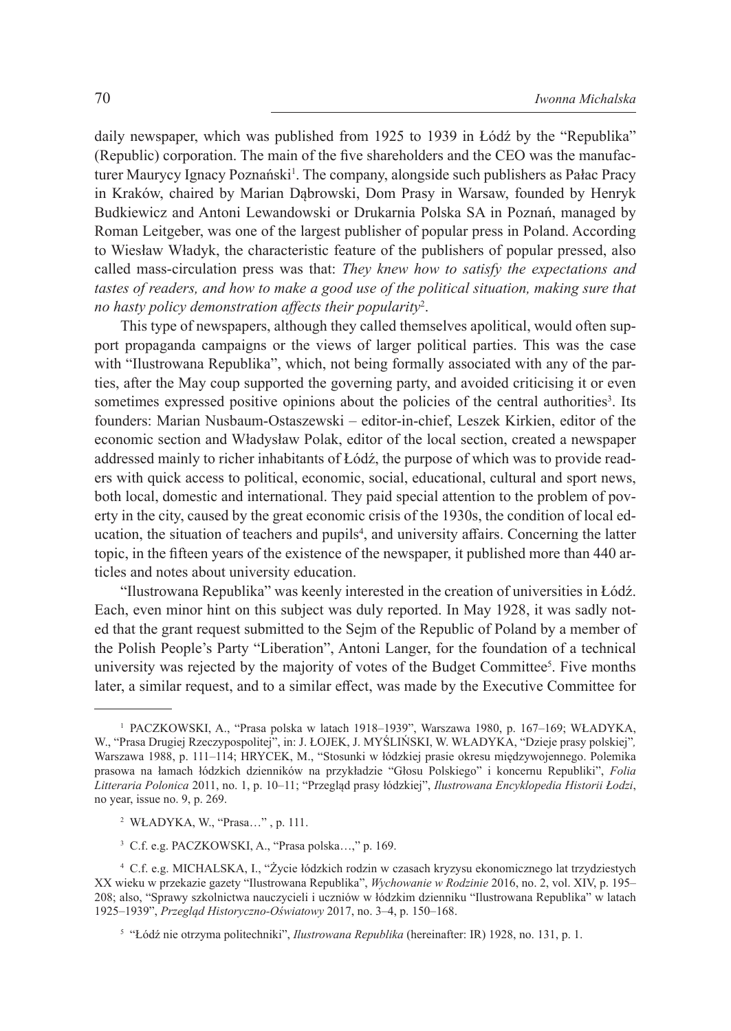daily newspaper, which was published from 1925 to 1939 in Łódź by the "Republika" (Republic) corporation. The main of the five shareholders and the CEO was the manufacturer Maurycy Ignacy Poznański<sup>1</sup>. The company, alongside such publishers as Pałac Pracy in Kraków, chaired by Marian Dąbrowski, Dom Prasy in Warsaw, founded by Henryk Budkiewicz and Antoni Lewandowski or Drukarnia Polska SA in Poznań, managed by Roman Leitgeber, was one of the largest publisher of popular press in Poland. According to Wiesław Władyk, the characteristic feature of the publishers of popular pressed, also called mass-circulation press was that: *They knew how to satisfy the expectations and tastes of readers, and how to make a good use of the political situation, making sure that no hasty policy demonstration affects their popularity*<sup>2</sup> .

This type of newspapers, although they called themselves apolitical, would often support propaganda campaigns or the views of larger political parties. This was the case with "Ilustrowana Republika", which, not being formally associated with any of the parties, after the May coup supported the governing party, and avoided criticising it or even sometimes expressed positive opinions about the policies of the central authorities<sup>3</sup>. Its founders: Marian Nusbaum-Ostaszewski – editor-in-chief, Leszek Kirkien, editor of the economic section and Władysław Polak, editor of the local section, created a newspaper addressed mainly to richer inhabitants of Łódź, the purpose of which was to provide readers with quick access to political, economic, social, educational, cultural and sport news, both local, domestic and international. They paid special attention to the problem of poverty in the city, caused by the great economic crisis of the 1930s, the condition of local education, the situation of teachers and pupils<sup>4</sup>, and university affairs. Concerning the latter topic, in the fifteen years of the existence of the newspaper, it published more than 440 articles and notes about university education.

"Ilustrowana Republika" was keenly interested in the creation of universities in Łódź. Each, even minor hint on this subject was duly reported. In May 1928, it was sadly noted that the grant request submitted to the Sejm of the Republic of Poland by a member of the Polish People's Party "Liberation", Antoni Langer, for the foundation of a technical university was rejected by the majority of votes of the Budget Committee<sup>5</sup>. Five months later, a similar request, and to a similar effect, was made by the Executive Committee for

<sup>1</sup> PACZKOWSKI, A., "Prasa polska w latach 1918–1939", Warszawa 1980, p. 167–169; WŁADYKA, W., "Prasa Drugiej Rzeczypospolitej", in: J. ŁOJEK, J. MYŚLIŃSKI, W. WŁADYKA, "Dzieje prasy polskiej"*,* Warszawa 1988, p. 111–114; HRYCEK, M., "Stosunki w łódzkiej prasie okresu międzywojennego. Polemika prasowa na łamach łódzkich dzienników na przykładzie "Głosu Polskiego" i koncernu Republiki", *Folia Litteraria Polonica* 2011, no. 1, p. 10–11; "Przegląd prasy łódzkiej", *Ilustrowana Encyklopedia Historii Łodzi*, no year, issue no. 9, p. 269.

<sup>2</sup> WŁADYKA, W., "Prasa…" , p. 111.

<sup>3</sup> C.f. e.g. PACZKOWSKI, A., "Prasa polska…," p. 169.

<sup>4</sup> C.f. e.g. MICHALSKA, I., "Życie łódzkich rodzin w czasach kryzysu ekonomicznego lat trzydziestych XX wieku w przekazie gazety "Ilustrowana Republika", *Wychowanie w Rodzinie* 2016, no. 2, vol. XIV, p. 195– 208; also, "Sprawy szkolnictwa nauczycieli i uczniów w łódzkim dzienniku "Ilustrowana Republika" w latach 1925–1939", *Przegląd Historyczno-Oświatowy* 2017, no. 3–4, p. 150–168.

<sup>5</sup> "Łódź nie otrzyma politechniki", *Ilustrowana Republika* (hereinafter: IR) 1928, no. 131, p. 1.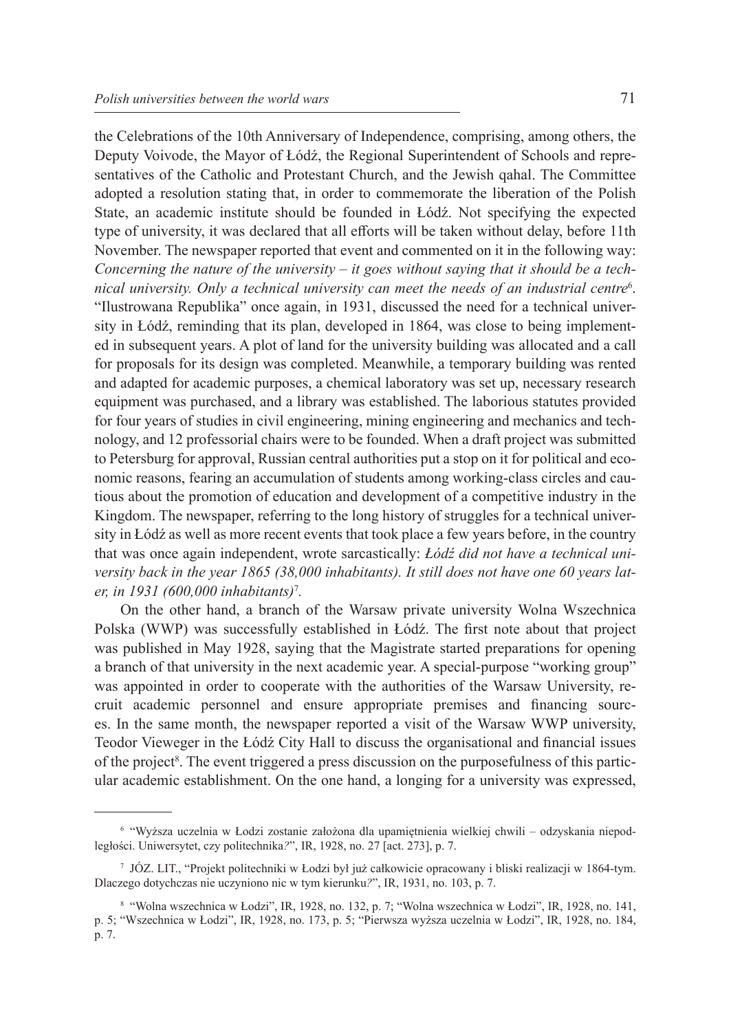the Celebrations of the 10th Anniversary of Independence, comprising, among others, the Deputy Voivode, the Mayor of Łódź, the Regional Superintendent of Schools and representatives of the Catholic and Protestant Church, and the Jewish qahal. The Committee adopted a resolution stating that, in order to commemorate the liberation of the Polish State, an academic institute should be founded in Łódź. Not specifying the expected type of university, it was declared that all efforts will be taken without delay, before 11th November. The newspaper reported that event and commented on it in the following way: *Concerning the nature of the university – it goes without saying that it should be a technical university. Only a technical university can meet the needs of an industrial centre*<sup>6</sup> . "Ilustrowana Republika" once again, in 1931, discussed the need for a technical university in Łódź, reminding that its plan, developed in 1864, was close to being implemented in subsequent years. A plot of land for the university building was allocated and a call for proposals for its design was completed. Meanwhile, a temporary building was rented and adapted for academic purposes, a chemical laboratory was set up, necessary research equipment was purchased, and a library was established. The laborious statutes provided for four years of studies in civil engineering, mining engineering and mechanics and technology, and 12 professorial chairs were to be founded. When a draft project was submitted to Petersburg for approval, Russian central authorities put a stop on it for political and economic reasons, fearing an accumulation of students among working-class circles and cautious about the promotion of education and development of a competitive industry in the Kingdom. The newspaper, referring to the long history of struggles for a technical university in Łódź as well as more recent events that took place a few years before, in the country that was once again independent, wrote sarcastically: *Łódź did not have a technical university back in the year 1865 (38,000 inhabitants). It still does not have one 60 years later, in 1931 (600,000 inhabitants)*<sup>7</sup> *.*

On the other hand, a branch of the Warsaw private university Wolna Wszechnica Polska (WWP) was successfully established in Łódź. The first note about that project was published in May 1928, saying that the Magistrate started preparations for opening a branch of that university in the next academic year. A special-purpose "working group" was appointed in order to cooperate with the authorities of the Warsaw University, recruit academic personnel and ensure appropriate premises and financing sources. In the same month, the newspaper reported a visit of the Warsaw WWP university, Teodor Vieweger in the Łódź City Hall to discuss the organisational and financial issues of the project<sup>8</sup>. The event triggered a press discussion on the purposefulness of this particular academic establishment. On the one hand, a longing for a university was expressed,

<sup>6</sup> "Wyższa uczelnia w Łodzi zostanie założona dla upamiętnienia wielkiej chwili – odzyskania niepodległości. Uniwersytet, czy politechnika*?*", IR, 1928, no. 27 [act. 273], p. 7.

<sup>7</sup> JÓZ. LIT., "Projekt politechniki w Łodzi był już całkowicie opracowany i bliski realizacji w 1864-tym. Dlaczego dotychczas nie uczyniono nic w tym kierunku*?*", IR, 1931, no. 103, p. 7.

<sup>8</sup> "Wolna wszechnica w Łodzi", IR, 1928, no. 132, p. 7; "Wolna wszechnica w Łodzi", IR, 1928, no. 141, p. 5; "Wszechnica w Łodzi", IR, 1928, no. 173, p. 5; "Pierwsza wyższa uczelnia w Łodzi", IR, 1928, no. 184, p. 7.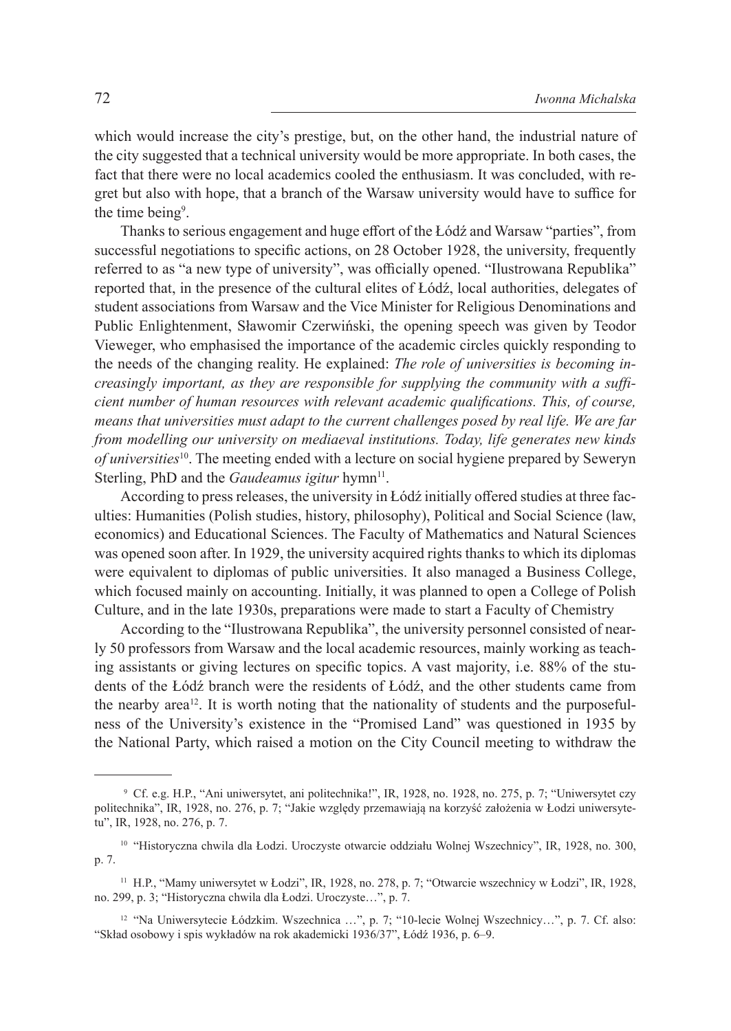which would increase the city's prestige, but, on the other hand, the industrial nature of the city suggested that a technical university would be more appropriate. In both cases, the fact that there were no local academics cooled the enthusiasm. It was concluded, with regret but also with hope, that a branch of the Warsaw university would have to suffice for the time being<sup>9</sup>.

Thanks to serious engagement and huge effort of the Łódź and Warsaw "parties", from successful negotiations to specific actions, on 28 October 1928, the university, frequently referred to as "a new type of university", was officially opened. "Ilustrowana Republika" reported that, in the presence of the cultural elites of Łódź, local authorities, delegates of student associations from Warsaw and the Vice Minister for Religious Denominations and Public Enlightenment, Sławomir Czerwiński, the opening speech was given by Teodor Vieweger, who emphasised the importance of the academic circles quickly responding to the needs of the changing reality. He explained: *The role of universities is becoming increasingly important, as they are responsible for supplying the community with a sufficient number of human resources with relevant academic qualifications. This, of course, means that universities must adapt to the current challenges posed by real life. We are far from modelling our university on mediaeval institutions. Today, life generates new kinds of universities*<sup>10</sup>. The meeting ended with a lecture on social hygiene prepared by Seweryn Sterling, PhD and the *Gaudeamus igitur* hymn<sup>11</sup>.

According to press releases, the university in Łódź initially offered studies at three faculties: Humanities (Polish studies, history, philosophy), Political and Social Science (law, economics) and Educational Sciences. The Faculty of Mathematics and Natural Sciences was opened soon after. In 1929, the university acquired rights thanks to which its diplomas were equivalent to diplomas of public universities. It also managed a Business College, which focused mainly on accounting. Initially, it was planned to open a College of Polish Culture, and in the late 1930s, preparations were made to start a Faculty of Chemistry

According to the "Ilustrowana Republika", the university personnel consisted of nearly 50 professors from Warsaw and the local academic resources, mainly working as teaching assistants or giving lectures on specific topics. A vast majority, i.e. 88% of the students of the Łódź branch were the residents of Łódź, and the other students came from the nearby area12. It is worth noting that the nationality of students and the purposefulness of the University's existence in the "Promised Land" was questioned in 1935 by the National Party, which raised a motion on the City Council meeting to withdraw the

<sup>9</sup> Cf. e.g. H.P., "Ani uniwersytet, ani politechnika!", IR, 1928, no. 1928, no. 275, p. 7; "Uniwersytet czy politechnika", IR, 1928, no. 276, p. 7; "Jakie względy przemawiają na korzyść założenia w Łodzi uniwersytetu", IR, 1928, no. 276, p. 7.

<sup>10</sup> "Historyczna chwila dla Łodzi. Uroczyste otwarcie oddziału Wolnej Wszechnicy", IR, 1928, no. 300, p. 7.

<sup>11</sup> H.P., "Mamy uniwersytet w Łodzi", IR, 1928, no. 278, p. 7; "Otwarcie wszechnicy w Łodzi", IR, 1928, no. 299, p. 3; "Historyczna chwila dla Łodzi. Uroczyste…", p. 7.

<sup>12</sup> "Na Uniwersytecie Łódzkim. Wszechnica …", p. 7; "10-lecie Wolnej Wszechnicy…", p. 7. Cf. also: "Skład osobowy i spis wykładów na rok akademicki 1936/37", Łódź 1936, p. 6–9.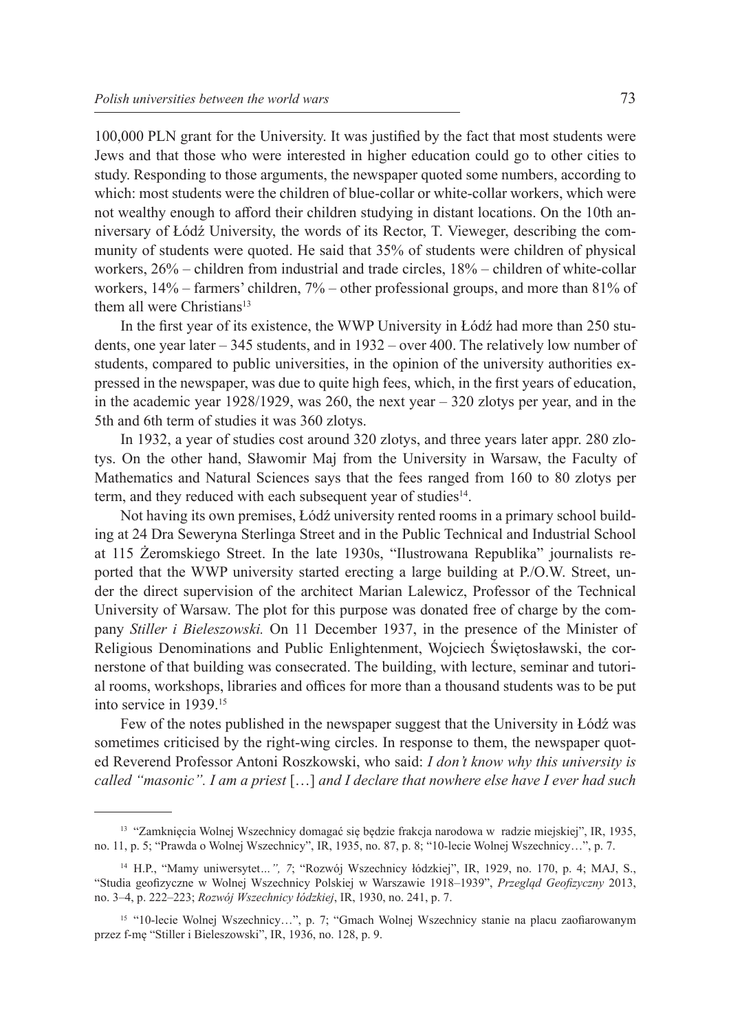100,000 PLN grant for the University. It was justified by the fact that most students were Jews and that those who were interested in higher education could go to other cities to study. Responding to those arguments, the newspaper quoted some numbers, according to which: most students were the children of blue-collar or white-collar workers, which were not wealthy enough to afford their children studying in distant locations. On the 10th anniversary of Łódź University, the words of its Rector, T. Vieweger, describing the community of students were quoted. He said that 35% of students were children of physical workers, 26% – children from industrial and trade circles, 18% – children of white-collar workers, 14% – farmers' children, 7% – other professional groups, and more than 81% of them all were Christians<sup>13</sup>

In the first year of its existence, the WWP University in Łódź had more than 250 students, one year later – 345 students, and in 1932 – over 400. The relatively low number of students, compared to public universities, in the opinion of the university authorities expressed in the newspaper, was due to quite high fees, which, in the first years of education, in the academic year 1928/1929, was 260, the next year – 320 zlotys per year, and in the 5th and 6th term of studies it was 360 zlotys.

In 1932, a year of studies cost around 320 zlotys, and three years later appr. 280 zlotys. On the other hand, Sławomir Maj from the University in Warsaw, the Faculty of Mathematics and Natural Sciences says that the fees ranged from 160 to 80 zlotys per term, and they reduced with each subsequent year of studies<sup>14</sup>.

Not having its own premises, Łódź university rented rooms in a primary school building at 24 Dra Seweryna Sterlinga Street and in the Public Technical and Industrial School at 115 Żeromskiego Street. In the late 1930s, "Ilustrowana Republika" journalists reported that the WWP university started erecting a large building at P./O.W. Street, under the direct supervision of the architect Marian Lalewicz, Professor of the Technical University of Warsaw. The plot for this purpose was donated free of charge by the company *Stiller i Bieleszowski.* On 11 December 1937, in the presence of the Minister of Religious Denominations and Public Enlightenment, Wojciech Świętosławski, the cornerstone of that building was consecrated. The building, with lecture, seminar and tutorial rooms, workshops, libraries and offices for more than a thousand students was to be put into service in 1939.15

Few of the notes published in the newspaper suggest that the University in Łódź was sometimes criticised by the right-wing circles. In response to them, the newspaper quoted Reverend Professor Antoni Roszkowski, who said: *I don't know why this university is called "masonic". I am a priest* […] *and I declare that nowhere else have I ever had such* 

<sup>13</sup> "Zamknięcia Wolnej Wszechnicy domagać się będzie frakcja narodowa w radzie miejskiej", IR, 1935, no. 11, p. 5; "Prawda o Wolnej Wszechnicy", IR, 1935, no. 87, p. 8; "10-lecie Wolnej Wszechnicy…", p. 7.

<sup>14</sup> H.P., "Mamy uniwersytet*…", 7*; "Rozwój Wszechnicy łódzkiej", IR, 1929, no. 170, p. 4; MAJ, S., "Studia geofizyczne w Wolnej Wszechnicy Polskiej w Warszawie 1918–1939", *Przegląd Geofizyczny* 2013, no. 3–4, p. 222–223; *Rozwój Wszechnicy łódzkiej*, IR, 1930, no. 241, p. 7.

<sup>15</sup> "10-lecie Wolnej Wszechnicy…", p. 7; "Gmach Wolnej Wszechnicy stanie na placu zaofiarowanym przez f-mę "Stiller i Bieleszowski", IR, 1936, no. 128, p. 9.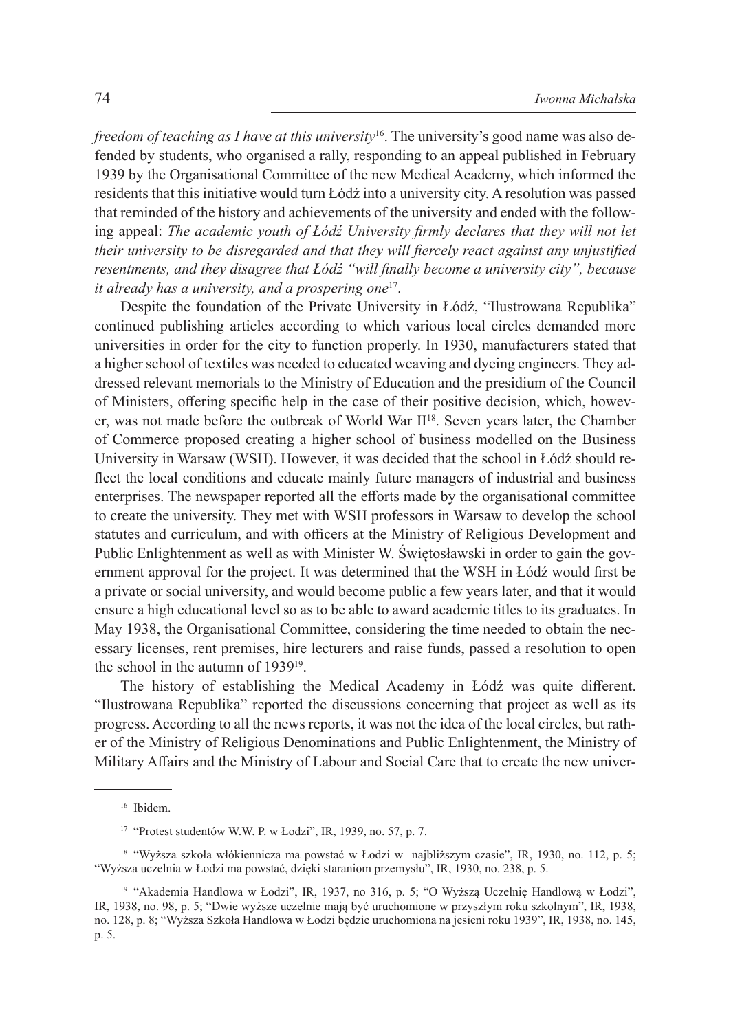*freedom of teaching as I have at this university*<sup>16</sup>. The university's good name was also defended by students, who organised a rally, responding to an appeal published in February 1939 by the Organisational Committee of the new Medical Academy, which informed the residents that this initiative would turn Łódź into a university city. A resolution was passed that reminded of the history and achievements of the university and ended with the following appeal: *The academic youth of Łódź University firmly declares that they will not let their university to be disregarded and that they will fiercely react against any unjustified resentments, and they disagree that Łódź "will finally become a university city", because it already has a university, and a prospering one*17.

Despite the foundation of the Private University in Łódź, "Ilustrowana Republika" continued publishing articles according to which various local circles demanded more universities in order for the city to function properly. In 1930, manufacturers stated that a higher school of textiles was needed to educated weaving and dyeing engineers. They addressed relevant memorials to the Ministry of Education and the presidium of the Council of Ministers, offering specific help in the case of their positive decision, which, however, was not made before the outbreak of World War II<sup>18</sup>. Seven years later, the Chamber of Commerce proposed creating a higher school of business modelled on the Business University in Warsaw (WSH). However, it was decided that the school in Łódź should reflect the local conditions and educate mainly future managers of industrial and business enterprises. The newspaper reported all the efforts made by the organisational committee to create the university. They met with WSH professors in Warsaw to develop the school statutes and curriculum, and with officers at the Ministry of Religious Development and Public Enlightenment as well as with Minister W. Świętosławski in order to gain the government approval for the project. It was determined that the WSH in Łódź would first be a private or social university, and would become public a few years later, and that it would ensure a high educational level so as to be able to award academic titles to its graduates. In May 1938, the Organisational Committee, considering the time needed to obtain the necessary licenses, rent premises, hire lecturers and raise funds, passed a resolution to open the school in the autumn of 1939<sup>19</sup>.

The history of establishing the Medical Academy in Łódź was quite different. "Ilustrowana Republika" reported the discussions concerning that project as well as its progress. According to all the news reports, it was not the idea of the local circles, but rather of the Ministry of Religious Denominations and Public Enlightenment, the Ministry of Military Affairs and the Ministry of Labour and Social Care that to create the new univer-

<sup>16</sup> Ibidem.

<sup>17</sup> "Protest studentów W.W. P. w Łodzi", IR, 1939, no. 57, p. 7.

<sup>18</sup> "Wyższa szkoła włókiennicza ma powstać w Łodzi w najbliższym czasie", IR, 1930, no. 112, p. 5; "Wyższa uczelnia w Łodzi ma powstać, dzięki staraniom przemysłu", IR, 1930, no. 238, p. 5.

<sup>&</sup>lt;sup>19</sup> "Akademia Handlowa w Łodzi", IR, 1937, no 316, p. 5; "O Wyższą Uczelnię Handlową w Łodzi", IR, 1938, no. 98, p. 5; "Dwie wyższe uczelnie mają być uruchomione w przyszłym roku szkolnym", IR, 1938, no. 128, p. 8; "Wyższa Szkoła Handlowa w Łodzi będzie uruchomiona na jesieni roku 1939", IR, 1938, no. 145, p. 5.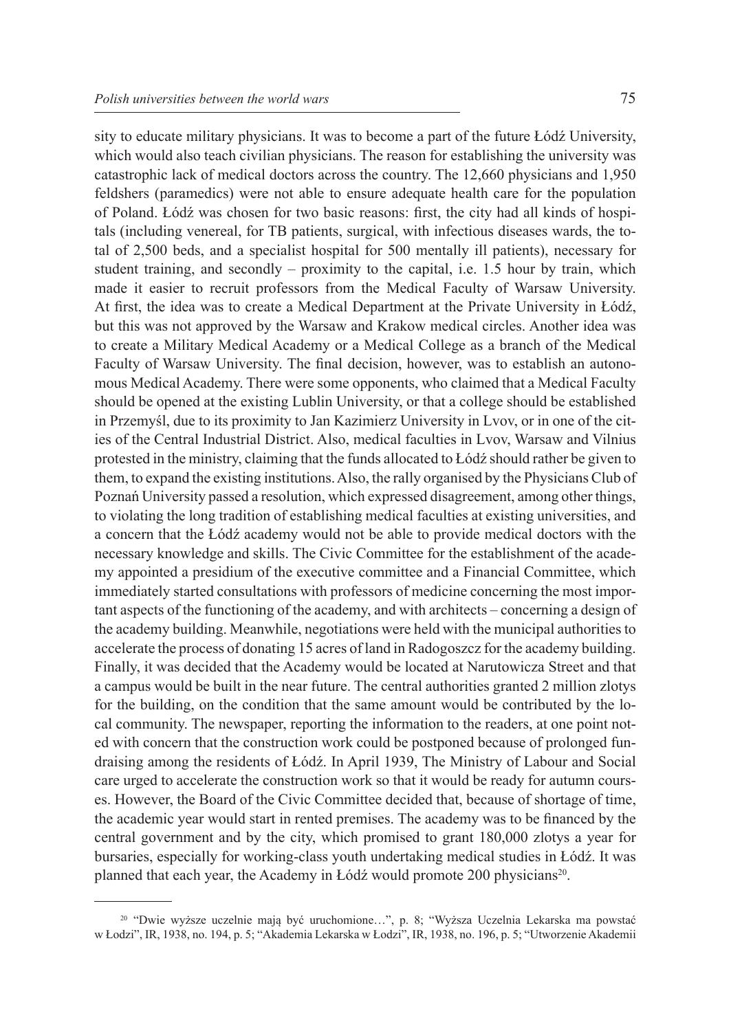sity to educate military physicians. It was to become a part of the future Łódź University, which would also teach civilian physicians. The reason for establishing the university was catastrophic lack of medical doctors across the country. The 12,660 physicians and 1,950 feldshers (paramedics) were not able to ensure adequate health care for the population of Poland. Łódź was chosen for two basic reasons: first, the city had all kinds of hospitals (including venereal, for TB patients, surgical, with infectious diseases wards, the total of 2,500 beds, and a specialist hospital for 500 mentally ill patients), necessary for student training, and secondly – proximity to the capital, i.e. 1.5 hour by train, which made it easier to recruit professors from the Medical Faculty of Warsaw University. At first, the idea was to create a Medical Department at the Private University in Łódź, but this was not approved by the Warsaw and Krakow medical circles. Another idea was to create a Military Medical Academy or a Medical College as a branch of the Medical Faculty of Warsaw University. The final decision, however, was to establish an autonomous Medical Academy. There were some opponents, who claimed that a Medical Faculty should be opened at the existing Lublin University, or that a college should be established in Przemyśl, due to its proximity to Jan Kazimierz University in Lvov, or in one of the cities of the Central Industrial District. Also, medical faculties in Lvov, Warsaw and Vilnius protested in the ministry, claiming that the funds allocated to Łódź should rather be given to them, to expand the existing institutions. Also, the rally organised by the Physicians Club of Poznań University passed a resolution, which expressed disagreement, among other things, to violating the long tradition of establishing medical faculties at existing universities, and a concern that the Łódź academy would not be able to provide medical doctors with the necessary knowledge and skills. The Civic Committee for the establishment of the academy appointed a presidium of the executive committee and a Financial Committee, which immediately started consultations with professors of medicine concerning the most important aspects of the functioning of the academy, and with architects – concerning a design of the academy building. Meanwhile, negotiations were held with the municipal authorities to accelerate the process of donating 15 acres of land in Radogoszcz for the academy building. Finally, it was decided that the Academy would be located at Narutowicza Street and that a campus would be built in the near future. The central authorities granted 2 million zlotys for the building, on the condition that the same amount would be contributed by the local community. The newspaper, reporting the information to the readers, at one point noted with concern that the construction work could be postponed because of prolonged fundraising among the residents of Łódź. In April 1939, The Ministry of Labour and Social care urged to accelerate the construction work so that it would be ready for autumn courses. However, the Board of the Civic Committee decided that, because of shortage of time, the academic year would start in rented premises. The academy was to be financed by the central government and by the city, which promised to grant 180,000 zlotys a year for bursaries, especially for working-class youth undertaking medical studies in Łódź. It was planned that each year, the Academy in Łódź would promote 200 physicians<sup>20</sup>.

<sup>20</sup> "Dwie wyższe uczelnie mają być uruchomione…", p. 8; "Wyższa Uczelnia Lekarska ma powstać w Łodzi", IR, 1938, no. 194, p. 5; "Akademia Lekarska w Łodzi", IR, 1938, no. 196, p. 5; "Utworzenie Akademii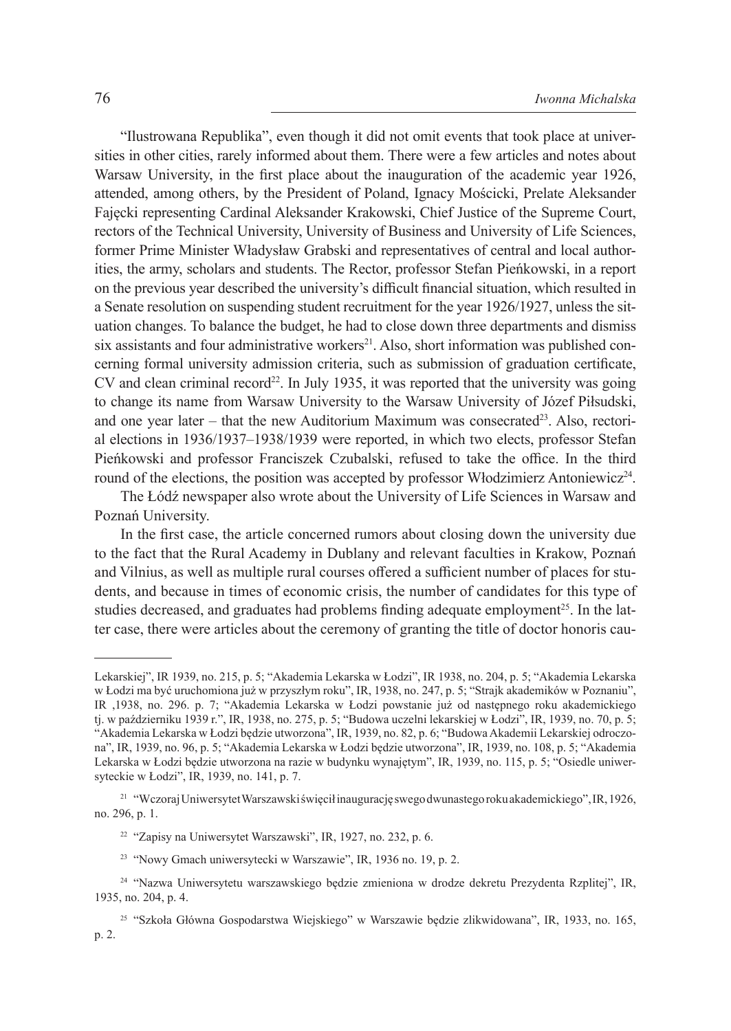"Ilustrowana Republika", even though it did not omit events that took place at universities in other cities, rarely informed about them. There were a few articles and notes about Warsaw University, in the first place about the inauguration of the academic year 1926, attended, among others, by the President of Poland, Ignacy Mościcki, Prelate Aleksander Fajęcki representing Cardinal Aleksander Krakowski, Chief Justice of the Supreme Court, rectors of the Technical University, University of Business and University of Life Sciences, former Prime Minister Władysław Grabski and representatives of central and local authorities, the army, scholars and students. The Rector, professor Stefan Pieńkowski, in a report on the previous year described the university's difficult financial situation, which resulted in a Senate resolution on suspending student recruitment for the year 1926/1927, unless the situation changes. To balance the budget, he had to close down three departments and dismiss six assistants and four administrative workers<sup>21</sup>. Also, short information was published concerning formal university admission criteria, such as submission of graduation certificate,  $CV$  and clean criminal record<sup>22</sup>. In July 1935, it was reported that the university was going to change its name from Warsaw University to the Warsaw University of Józef Piłsudski, and one year later – that the new Auditorium Maximum was consecrated<sup>23</sup>. Also, rectorial elections in 1936/1937–1938/1939 were reported, in which two elects, professor Stefan Pieńkowski and professor Franciszek Czubalski, refused to take the office. In the third round of the elections, the position was accepted by professor Włodzimierz Antoniewicz<sup>24</sup>.

The Łódź newspaper also wrote about the University of Life Sciences in Warsaw and Poznań University.

In the first case, the article concerned rumors about closing down the university due to the fact that the Rural Academy in Dublany and relevant faculties in Krakow, Poznań and Vilnius, as well as multiple rural courses offered a sufficient number of places for students, and because in times of economic crisis, the number of candidates for this type of studies decreased, and graduates had problems finding adequate employment<sup>25</sup>. In the latter case, there were articles about the ceremony of granting the title of doctor honoris cau-

Lekarskiej", IR 1939, no. 215, p. 5; "Akademia Lekarska w Łodzi", IR 1938, no. 204, p. 5; "Akademia Lekarska w Łodzi ma być uruchomiona już w przyszłym roku", IR, 1938, no. 247, p. 5; "Strajk akademików w Poznaniu", IR ,1938, no. 296. p. 7; "Akademia Lekarska w Łodzi powstanie już od następnego roku akademickiego tj. w październiku 1939 r.", IR, 1938, no. 275, p. 5; "Budowa uczelni lekarskiej w Łodzi", IR, 1939, no. 70, p. 5; "Akademia Lekarska w Łodzi będzie utworzona", IR, 1939, no. 82, p. 6; "Budowa Akademii Lekarskiej odroczona", IR, 1939, no. 96, p. 5; "Akademia Lekarska w Łodzi będzie utworzona", IR, 1939, no. 108, p. 5; "Akademia Lekarska w Łodzi będzie utworzona na razie w budynku wynajętym", IR, 1939, no. 115, p. 5; "Osiedle uniwersyteckie w Łodzi", IR, 1939, no. 141, p. 7.

<sup>21</sup> "Wczoraj Uniwersytet Warszawski święcił inaugurację swego dwunastego roku akademickiego", IR, 1926, no. 296, p. 1.

<sup>22</sup> "Zapisy na Uniwersytet Warszawski", IR, 1927, no. 232, p. 6.

<sup>23</sup> "Nowy Gmach uniwersytecki w Warszawie", IR, 1936 no. 19, p. 2.

<sup>&</sup>lt;sup>24</sup> "Nazwa Uniwersytetu warszawskiego bedzie zmieniona w drodze dekretu Prezydenta Rzplitej", IR, 1935, no. 204, p. 4.

<sup>25</sup> "Szkoła Główna Gospodarstwa Wiejskiego" w Warszawie będzie zlikwidowana", IR, 1933, no. 165, p. 2.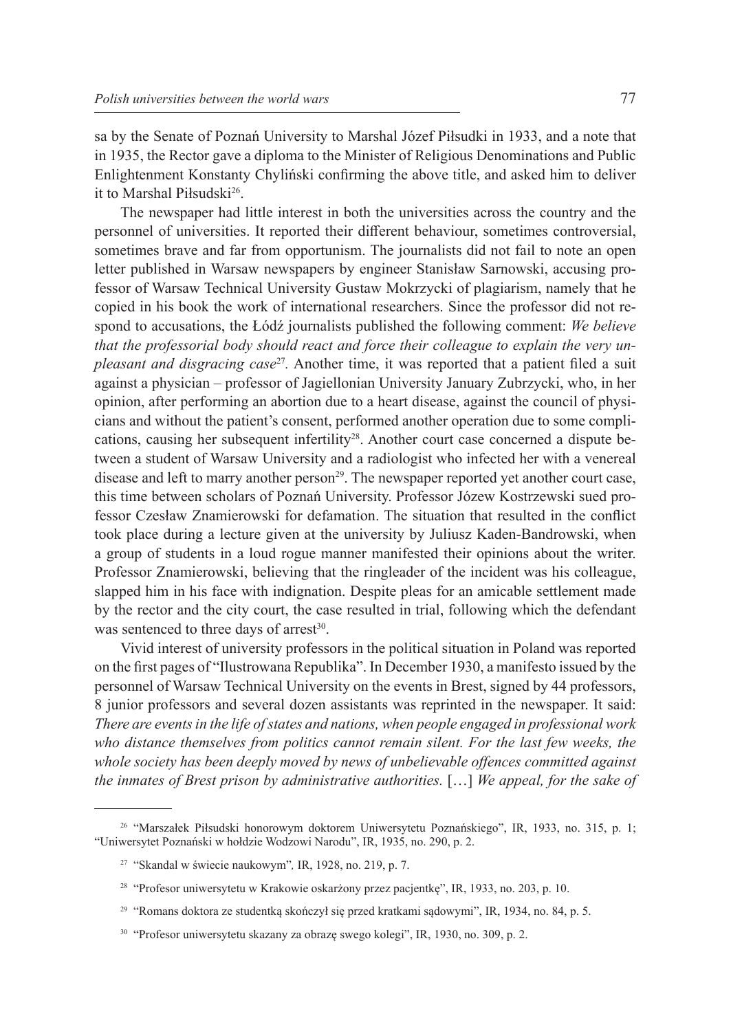sa by the Senate of Poznań University to Marshal Józef Piłsudki in 1933, and a note that in 1935, the Rector gave a diploma to the Minister of Religious Denominations and Public Enlightenment Konstanty Chyliński confirming the above title, and asked him to deliver it to Marshal Piłsudski<sup>26</sup>.

The newspaper had little interest in both the universities across the country and the personnel of universities. It reported their different behaviour, sometimes controversial, sometimes brave and far from opportunism. The journalists did not fail to note an open letter published in Warsaw newspapers by engineer Stanisław Sarnowski, accusing professor of Warsaw Technical University Gustaw Mokrzycki of plagiarism, namely that he copied in his book the work of international researchers. Since the professor did not respond to accusations, the Łódź journalists published the following comment: *We believe that the professorial body should react and force their colleague to explain the very unpleasant and disgracing case*<sup>27</sup>*.* Another time, it was reported that a patient filed a suit against a physician – professor of Jagiellonian University January Zubrzycki, who, in her opinion, after performing an abortion due to a heart disease, against the council of physicians and without the patient's consent, performed another operation due to some complications, causing her subsequent infertility<sup>28</sup>. Another court case concerned a dispute between a student of Warsaw University and a radiologist who infected her with a venereal disease and left to marry another person<sup>29</sup>. The newspaper reported yet another court case, this time between scholars of Poznań University. Professor Józew Kostrzewski sued professor Czesław Znamierowski for defamation. The situation that resulted in the conflict took place during a lecture given at the university by Juliusz Kaden-Bandrowski, when a group of students in a loud rogue manner manifested their opinions about the writer. Professor Znamierowski, believing that the ringleader of the incident was his colleague, slapped him in his face with indignation. Despite pleas for an amicable settlement made by the rector and the city court, the case resulted in trial, following which the defendant was sentenced to three days of arrest $30$ .

Vivid interest of university professors in the political situation in Poland was reported on the first pages of "Ilustrowana Republika". In December 1930, a manifesto issued by the personnel of Warsaw Technical University on the events in Brest, signed by 44 professors, 8 junior professors and several dozen assistants was reprinted in the newspaper. It said: *There are events in the life of states and nations, when people engaged in professional work who distance themselves from politics cannot remain silent. For the last few weeks, the whole society has been deeply moved by news of unbelievable offences committed against the inmates of Brest prison by administrative authorities.* […] *We appeal, for the sake of* 

<sup>26</sup> "Marszałek Piłsudski honorowym doktorem Uniwersytetu Poznańskiego", IR, 1933, no. 315, p. 1; "Uniwersytet Poznański w hołdzie Wodzowi Narodu", IR, 1935, no. 290, p. 2.

<sup>27</sup> "Skandal w świecie naukowym"*,* IR, 1928, no. 219, p. 7.

<sup>28</sup> "Profesor uniwersytetu w Krakowie oskarżony przez pacjentkę", IR, 1933, no. 203, p. 10.

<sup>29</sup> "Romans doktora ze studentką skończył się przed kratkami sądowymi", IR, 1934, no. 84, p. 5.

<sup>30</sup> "Profesor uniwersytetu skazany za obrazę swego kolegi", IR, 1930, no. 309, p. 2.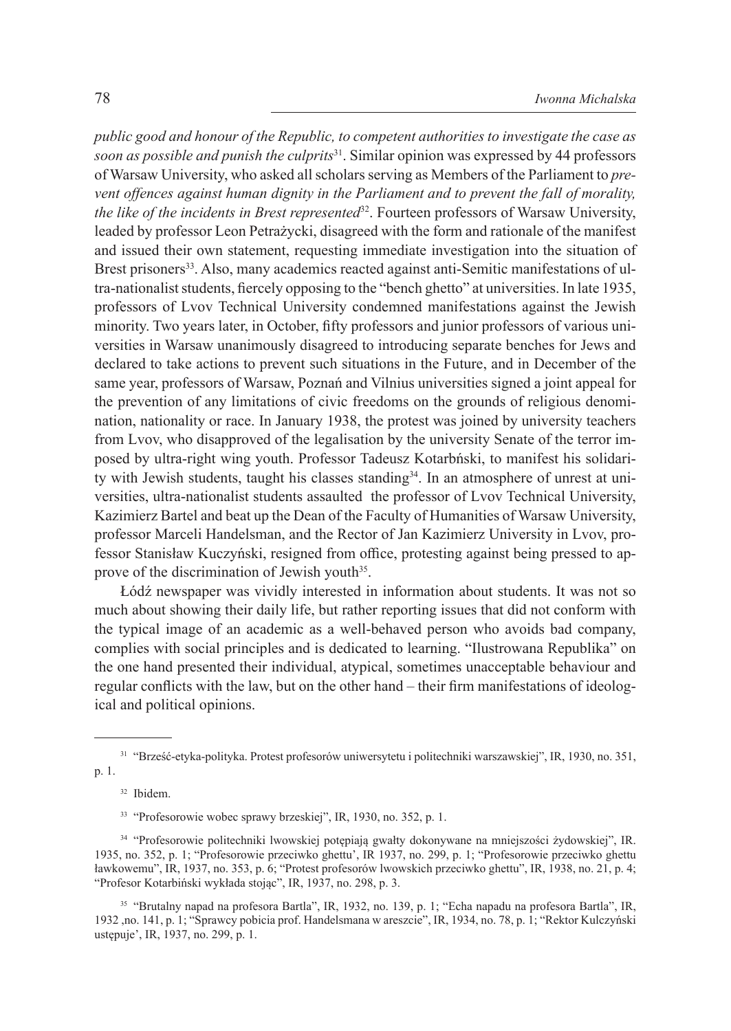*public good and honour of the Republic, to competent authorities to investigate the case as soon as possible and punish the culprits*<sup>31</sup>. Similar opinion was expressed by 44 professors of Warsaw University, who asked all scholars serving as Members of the Parliament to *prevent offences against human dignity in the Parliament and to prevent the fall of morality, the like of the incidents in Brest represented*<sup>32</sup>. Fourteen professors of Warsaw University, leaded by professor Leon Petrażycki, disagreed with the form and rationale of the manifest and issued their own statement, requesting immediate investigation into the situation of Brest prisoners<sup>33</sup>. Also, many academics reacted against anti-Semitic manifestations of ultra-nationalist students, fiercely opposing to the "bench ghetto" at universities. In late 1935, professors of Lvov Technical University condemned manifestations against the Jewish minority. Two years later, in October, fifty professors and junior professors of various universities in Warsaw unanimously disagreed to introducing separate benches for Jews and declared to take actions to prevent such situations in the Future, and in December of the same year, professors of Warsaw, Poznań and Vilnius universities signed a joint appeal for the prevention of any limitations of civic freedoms on the grounds of religious denomination, nationality or race. In January 1938, the protest was joined by university teachers from Lvov, who disapproved of the legalisation by the university Senate of the terror imposed by ultra-right wing youth. Professor Tadeusz Kotarbński, to manifest his solidarity with Jewish students, taught his classes standing34. In an atmosphere of unrest at universities, ultra-nationalist students assaulted the professor of Lvov Technical University, Kazimierz Bartel and beat up the Dean of the Faculty of Humanities of Warsaw University, professor Marceli Handelsman, and the Rector of Jan Kazimierz University in Lvov, professor Stanisław Kuczyński, resigned from office, protesting against being pressed to approve of the discrimination of Jewish youth<sup>35</sup>.

Łódź newspaper was vividly interested in information about students. It was not so much about showing their daily life, but rather reporting issues that did not conform with the typical image of an academic as a well-behaved person who avoids bad company, complies with social principles and is dedicated to learning. "Ilustrowana Republika" on the one hand presented their individual, atypical, sometimes unacceptable behaviour and regular conflicts with the law, but on the other hand – their firm manifestations of ideological and political opinions.

<sup>31</sup> "Brześć-etyka-polityka. Protest profesorów uniwersytetu i politechniki warszawskiej", IR, 1930, no. 351, p. 1.

<sup>32</sup> Ibidem.

<sup>33</sup> "Profesorowie wobec sprawy brzeskiej", IR, 1930, no. 352, p. 1.

<sup>34</sup> "Profesorowie politechniki lwowskiej potępiają gwałty dokonywane na mniejszości żydowskiej", IR. 1935, no. 352, p. 1; "Profesorowie przeciwko ghettu', IR 1937, no. 299, p. 1; "Profesorowie przeciwko ghettu ławkowemu", IR, 1937, no. 353, p. 6; "Protest profesorów lwowskich przeciwko ghettu", IR, 1938, no. 21, p. 4; "Profesor Kotarbiński wykłada stojąc", IR, 1937, no. 298, p. 3.

<sup>35</sup> "Brutalny napad na profesora Bartla", IR, 1932, no. 139, p. 1; "Echa napadu na profesora Bartla", IR, 1932 ,no. 141, p. 1; "Sprawcy pobicia prof. Handelsmana w areszcie", IR, 1934, no. 78, p. 1; "Rektor Kulczyński ustępuje', IR, 1937, no. 299, p. 1.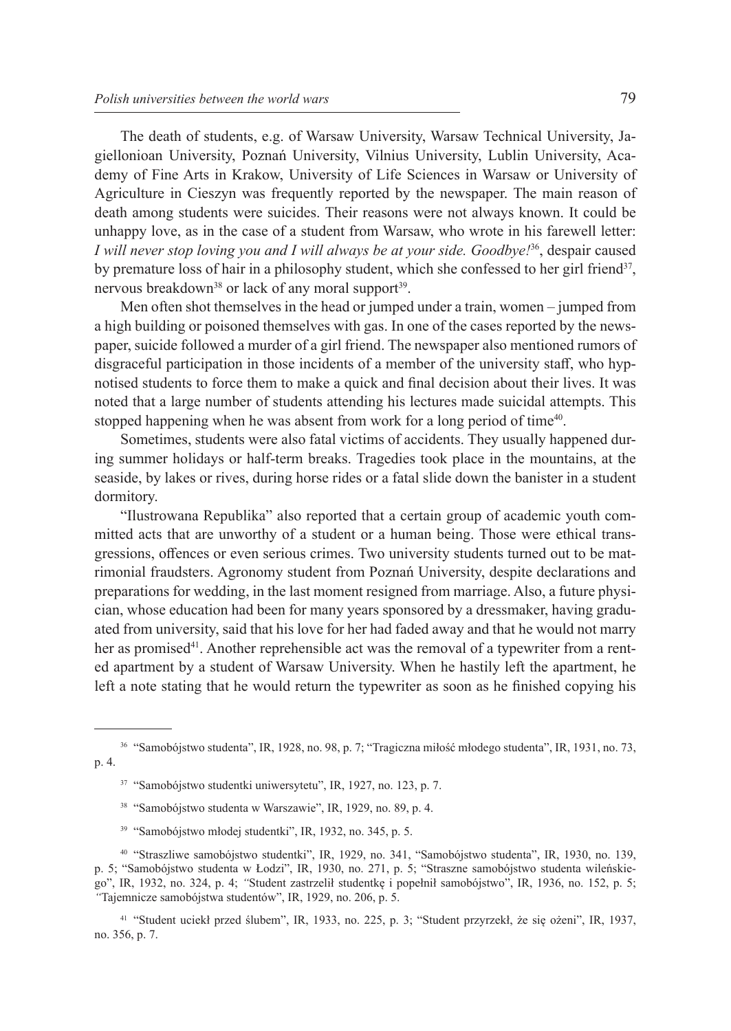The death of students, e.g. of Warsaw University, Warsaw Technical University, Jagiellonioan University, Poznań University, Vilnius University, Lublin University, Academy of Fine Arts in Krakow, University of Life Sciences in Warsaw or University of Agriculture in Cieszyn was frequently reported by the newspaper. The main reason of death among students were suicides. Their reasons were not always known. It could be unhappy love, as in the case of a student from Warsaw, who wrote in his farewell letter: *I* will never stop loving you and *I* will always be at your side. Goodbye<sup>[36</sup>, despair caused] by premature loss of hair in a philosophy student, which she confessed to her girl friend<sup>37</sup>, nervous breakdown<sup>38</sup> or lack of any moral support<sup>39</sup>.

Men often shot themselves in the head or jumped under a train, women – jumped from a high building or poisoned themselves with gas. In one of the cases reported by the newspaper, suicide followed a murder of a girl friend. The newspaper also mentioned rumors of disgraceful participation in those incidents of a member of the university staff, who hypnotised students to force them to make a quick and final decision about their lives. It was noted that a large number of students attending his lectures made suicidal attempts. This stopped happening when he was absent from work for a long period of time<sup>40</sup>.

Sometimes, students were also fatal victims of accidents. They usually happened during summer holidays or half-term breaks. Tragedies took place in the mountains, at the seaside, by lakes or rives, during horse rides or a fatal slide down the banister in a student dormitory.

"Ilustrowana Republika" also reported that a certain group of academic youth committed acts that are unworthy of a student or a human being. Those were ethical transgressions, offences or even serious crimes. Two university students turned out to be matrimonial fraudsters. Agronomy student from Poznań University, despite declarations and preparations for wedding, in the last moment resigned from marriage. Also, a future physician, whose education had been for many years sponsored by a dressmaker, having graduated from university, said that his love for her had faded away and that he would not marry her as promised<sup>41</sup>. Another reprehensible act was the removal of a typewriter from a rented apartment by a student of Warsaw University. When he hastily left the apartment, he left a note stating that he would return the typewriter as soon as he finished copying his

- <sup>38</sup> "Samobójstwo studenta w Warszawie", IR, 1929, no. 89, p. 4.
- <sup>39</sup> "Samobójstwo młodej studentki", IR, 1932, no. 345, p. 5.

<sup>36</sup> "Samobójstwo studenta", IR, 1928, no. 98, p. 7; "Tragiczna miłość młodego studenta", IR, 1931, no. 73, p. 4.

<sup>37</sup> "Samobójstwo studentki uniwersytetu", IR, 1927, no. 123, p. 7.

<sup>40</sup> "Straszliwe samobójstwo studentki", IR, 1929, no. 341, "Samobójstwo studenta", IR, 1930, no. 139, p. 5; "Samobójstwo studenta w Łodzi", IR, 1930, no. 271, p. 5; "Straszne samobójstwo studenta wileńskiego", IR, 1932, no. 324, p. 4; *"*Student zastrzelił studentkę i popełnił samobójstwo", IR, 1936, no. 152, p. 5; *"*Tajemnicze samobójstwa studentów", IR, 1929, no. 206, p. 5.

<sup>41</sup> "Student uciekł przed ślubem", IR, 1933, no. 225, p. 3; "Student przyrzekł, że się ożeni", IR, 1937, no. 356, p. 7.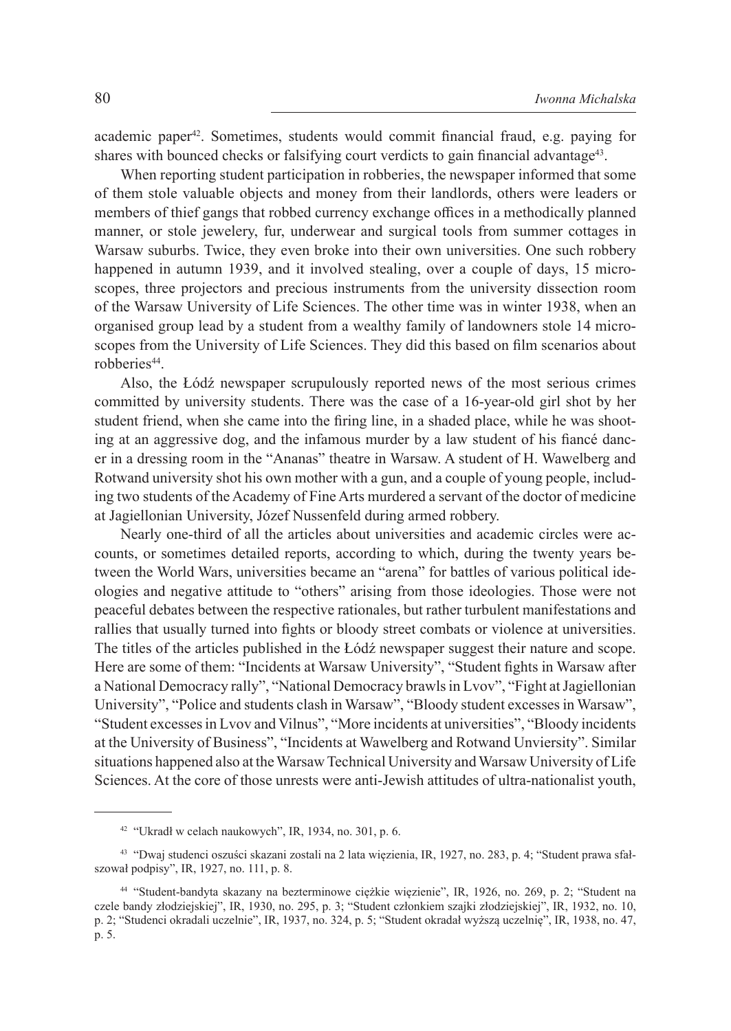academic paper42. Sometimes, students would commit financial fraud, e.g. paying for shares with bounced checks or falsifying court verdicts to gain financial advantage<sup>43</sup>.

When reporting student participation in robberies, the newspaper informed that some of them stole valuable objects and money from their landlords, others were leaders or members of thief gangs that robbed currency exchange offices in a methodically planned manner, or stole jewelery, fur, underwear and surgical tools from summer cottages in Warsaw suburbs. Twice, they even broke into their own universities. One such robbery happened in autumn 1939, and it involved stealing, over a couple of days, 15 microscopes, three projectors and precious instruments from the university dissection room of the Warsaw University of Life Sciences. The other time was in winter 1938, when an organised group lead by a student from a wealthy family of landowners stole 14 microscopes from the University of Life Sciences. They did this based on film scenarios about robberies<sup>44</sup>.

Also, the Łódź newspaper scrupulously reported news of the most serious crimes committed by university students. There was the case of a 16-year-old girl shot by her student friend, when she came into the firing line, in a shaded place, while he was shooting at an aggressive dog, and the infamous murder by a law student of his fiancé dancer in a dressing room in the "Ananas" theatre in Warsaw. A student of H. Wawelberg and Rotwand university shot his own mother with a gun, and a couple of young people, including two students of the Academy of Fine Arts murdered a servant of the doctor of medicine at Jagiellonian University, Józef Nussenfeld during armed robbery.

Nearly one-third of all the articles about universities and academic circles were accounts, or sometimes detailed reports, according to which, during the twenty years between the World Wars, universities became an "arena" for battles of various political ideologies and negative attitude to "others" arising from those ideologies. Those were not peaceful debates between the respective rationales, but rather turbulent manifestations and rallies that usually turned into fights or bloody street combats or violence at universities. The titles of the articles published in the Łódź newspaper suggest their nature and scope. Here are some of them: "Incidents at Warsaw University", "Student fights in Warsaw after a National Democracy rally", "National Democracy brawls in Lvov", "Fight at Jagiellonian University", "Police and students clash in Warsaw", "Bloody student excesses in Warsaw", "Student excesses in Lvov and Vilnus", "More incidents at universities", "Bloody incidents at the University of Business", "Incidents at Wawelberg and Rotwand Unviersity". Similar situations happened also at the Warsaw Technical University and Warsaw University of Life Sciences. At the core of those unrests were anti-Jewish attitudes of ultra-nationalist youth,

<sup>42</sup> "Ukradł w celach naukowych", IR, 1934, no. 301, p. 6.

<sup>43</sup> "Dwaj studenci oszuści skazani zostali na 2 lata więzienia, IR, 1927, no. 283, p. 4; "Student prawa sfałszował podpisy", IR, 1927, no. 111, p. 8.

<sup>44</sup> "Student-bandyta skazany na bezterminowe ciężkie więzienie", IR, 1926, no. 269, p. 2; "Student na czele bandy złodziejskiej", IR, 1930, no. 295, p. 3; "Student członkiem szajki złodziejskiej", IR, 1932, no. 10, p. 2; "Studenci okradali uczelnie", IR, 1937, no. 324, p. 5; "Student okradał wyższą uczelnię", IR, 1938, no. 47, p. 5.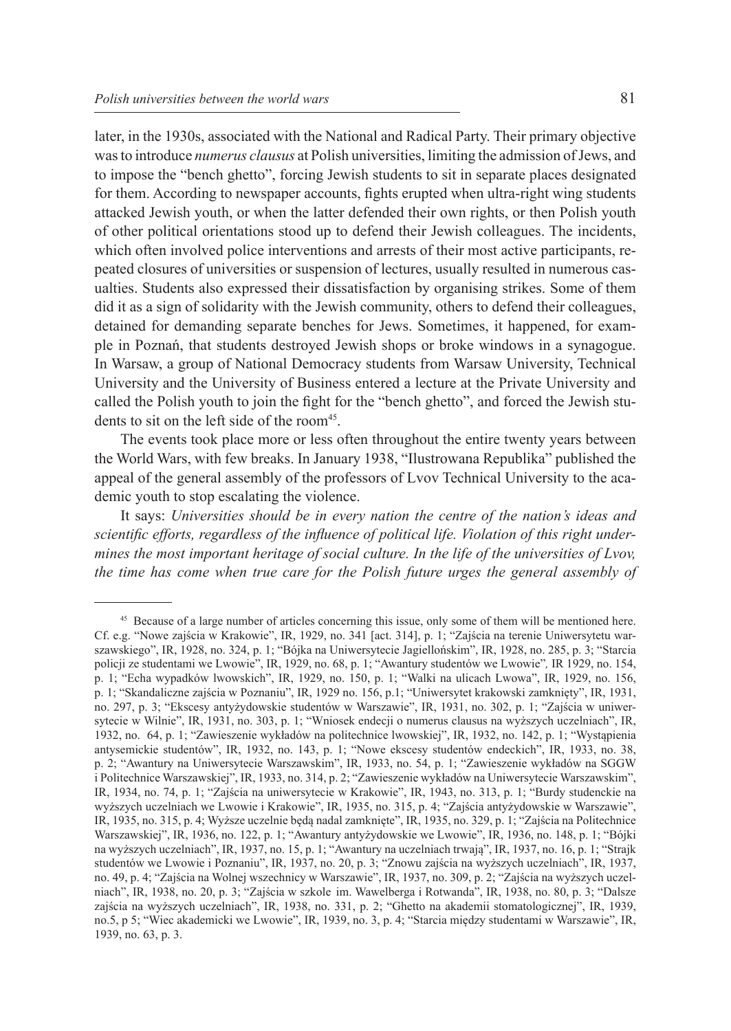was to introduce *numerus clausus* at Polish universities, limiting the admission of Jews, and to impose the "bench ghetto", forcing Jewish students to sit in separate places designated for them. According to newspaper accounts, fights erupted when ultra-right wing students attacked Jewish youth, or when the latter defended their own rights, or then Polish youth of other political orientations stood up to defend their Jewish colleagues. The incidents, which often involved police interventions and arrests of their most active participants, repeated closures of universities or suspension of lectures, usually resulted in numerous casualties. Students also expressed their dissatisfaction by organising strikes. Some of them did it as a sign of solidarity with the Jewish community, others to defend their colleagues, detained for demanding separate benches for Jews. Sometimes, it happened, for example in Poznań, that students destroyed Jewish shops or broke windows in a synagogue. In Warsaw, a group of National Democracy students from Warsaw University, Technical University and the University of Business entered a lecture at the Private University and called the Polish youth to join the fight for the "bench ghetto", and forced the Jewish students to sit on the left side of the room<sup>45</sup>.

The events took place more or less often throughout the entire twenty years between the World Wars, with few breaks. In January 1938, "Ilustrowana Republika" published the appeal of the general assembly of the professors of Lvov Technical University to the academic youth to stop escalating the violence.

It says: *Universities should be in every nation the centre of the nation's ideas and scientific efforts, regardless of the influence of political life. Violation of this right undermines the most important heritage of social culture. In the life of the universities of Lvov, the time has come when true care for the Polish future urges the general assembly of* 

<sup>&</sup>lt;sup>45</sup> Because of a large number of articles concerning this issue, only some of them will be mentioned here. Cf. e.g. "Nowe zajścia w Krakowie", IR, 1929, no. 341 [act. 314], p. 1; "Zajścia na terenie Uniwersytetu warszawskiego", IR, 1928, no. 324, p. 1; "Bójka na Uniwersytecie Jagiellońskim", IR, 1928, no. 285, p. 3; "Starcia policji ze studentami we Lwowie", IR, 1929, no. 68, p. 1; "Awantury studentów we Lwowie"*,* IR 1929, no. 154, p. 1; "Echa wypadków lwowskich", IR, 1929, no. 150, p. 1; "Walki na ulicach Lwowa", IR, 1929, no. 156, p. 1; "Skandaliczne zajścia w Poznaniu", IR, 1929 no. 156, p.1; "Uniwersytet krakowski zamknięty", IR, 1931, no. 297, p. 3; "Ekscesy antyżydowskie studentów w Warszawie", IR, 1931, no. 302, p. 1; "Zajścia w uniwersytecie w Wilnie", IR, 1931, no. 303, p. 1; "Wniosek endecji o numerus clausus na wyższych uczelniach", IR, 1932, no. 64, p. 1; "Zawieszenie wykładów na politechnice lwowskiej", IR, 1932, no. 142, p. 1; "Wystąpienia antysemickie studentów", IR, 1932, no. 143, p. 1; "Nowe ekscesy studentów endeckich", IR, 1933, no. 38, p. 2; "Awantury na Uniwersytecie Warszawskim", IR, 1933, no. 54, p. 1; "Zawieszenie wykładów na SGGW i Politechnice Warszawskiej", IR, 1933, no. 314, p. 2; "Zawieszenie wykładów na Uniwersytecie Warszawskim", IR, 1934, no. 74, p. 1; "Zajścia na uniwersytecie w Krakowie", IR, 1943, no. 313, p. 1; "Burdy studenckie na wyższych uczelniach we Lwowie i Krakowie", IR, 1935, no. 315, p. 4; "Zajścia antyżydowskie w Warszawie", IR, 1935, no. 315, p. 4; Wyższe uczelnie będą nadal zamknięte", IR, 1935, no. 329, p. 1; "Zajścia na Politechnice Warszawskiej", IR, 1936, no. 122, p. 1; "Awantury antyżydowskie we Lwowie", IR, 1936, no. 148, p. 1; "Bójki na wyższych uczelniach", IR, 1937, no. 15, p. 1; "Awantury na uczelniach trwają", IR, 1937, no. 16, p. 1; "Strajk studentów we Lwowie i Poznaniu", IR, 1937, no. 20, p. 3; "Znowu zajścia na wyższych uczelniach", IR, 1937, no. 49, p. 4; "Zajścia na Wolnej wszechnicy w Warszawie", IR, 1937, no. 309, p. 2; "Zajścia na wyższych uczelniach", IR, 1938, no. 20, p. 3; "Zajścia w szkole im. Wawelberga i Rotwanda", IR, 1938, no. 80, p. 3; "Dalsze zajścia na wyższych uczelniach", IR, 1938, no. 331, p. 2; "Ghetto na akademii stomatologicznej", IR, 1939, no.5, p 5; "Wiec akademicki we Lwowie", IR, 1939, no. 3, p. 4; "Starcia między studentami w Warszawie", IR, 1939, no. 63, p. 3.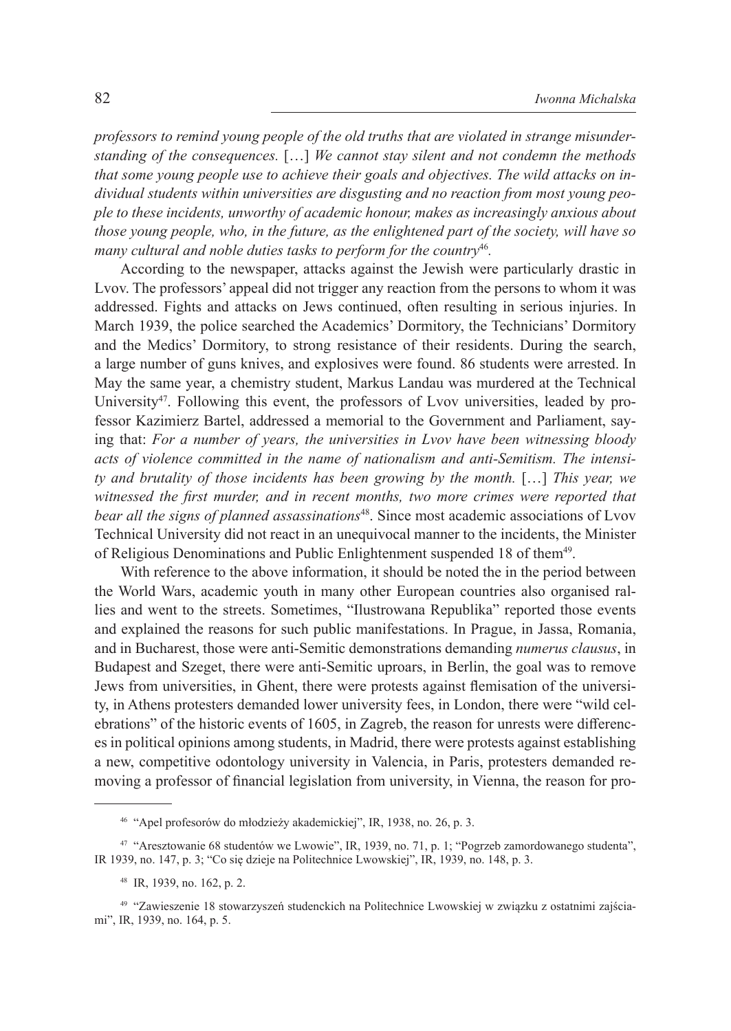*professors to remind young people of the old truths that are violated in strange misunderstanding of the consequences.* […] *We cannot stay silent and not condemn the methods that some young people use to achieve their goals and objectives. The wild attacks on individual students within universities are disgusting and no reaction from most young people to these incidents, unworthy of academic honour, makes as increasingly anxious about those young people, who, in the future, as the enlightened part of the society, will have so many cultural and noble duties tasks to perform for the country*<sup>46</sup>*.*

According to the newspaper, attacks against the Jewish were particularly drastic in Lvov. The professors' appeal did not trigger any reaction from the persons to whom it was addressed. Fights and attacks on Jews continued, often resulting in serious injuries. In March 1939, the police searched the Academics' Dormitory, the Technicians' Dormitory and the Medics' Dormitory, to strong resistance of their residents. During the search, a large number of guns knives, and explosives were found. 86 students were arrested. In May the same year, a chemistry student, Markus Landau was murdered at the Technical University<sup>47</sup>. Following this event, the professors of Lvov universities, leaded by professor Kazimierz Bartel, addressed a memorial to the Government and Parliament, saying that: *For a number of years, the universities in Lvov have been witnessing bloody acts of violence committed in the name of nationalism and anti-Semitism. The intensity and brutality of those incidents has been growing by the month.* […] *This year, we witnessed the first murder, and in recent months, two more crimes were reported that bear all the signs of planned assassinations*48. Since most academic associations of Lvov Technical University did not react in an unequivocal manner to the incidents, the Minister of Religious Denominations and Public Enlightenment suspended 18 of them<sup>49</sup>.

With reference to the above information, it should be noted the in the period between the World Wars, academic youth in many other European countries also organised rallies and went to the streets. Sometimes, "Ilustrowana Republika" reported those events and explained the reasons for such public manifestations. In Prague, in Jassa, Romania, and in Bucharest, those were anti-Semitic demonstrations demanding *numerus clausus*, in Budapest and Szeget, there were anti-Semitic uproars, in Berlin, the goal was to remove Jews from universities, in Ghent, there were protests against flemisation of the university, in Athens protesters demanded lower university fees, in London, there were "wild celebrations" of the historic events of 1605, in Zagreb, the reason for unrests were differences in political opinions among students, in Madrid, there were protests against establishing a new, competitive odontology university in Valencia, in Paris, protesters demanded removing a professor of financial legislation from university, in Vienna, the reason for pro-

<sup>46</sup> "Apel profesorów do młodzieży akademickiej", IR, 1938, no. 26, p. 3.

<sup>47</sup> "Aresztowanie 68 studentów we Lwowie", IR, 1939, no. 71, p. 1; "Pogrzeb zamordowanego studenta", IR 1939, no. 147, p. 3; "Co się dzieje na Politechnice Lwowskiej", IR, 1939, no. 148, p. 3.

<sup>48</sup> IR, 1939, no. 162, p. 2.

<sup>49</sup> "Zawieszenie 18 stowarzyszeń studenckich na Politechnice Lwowskiej w związku z ostatnimi zajściami", IR, 1939, no. 164, p. 5.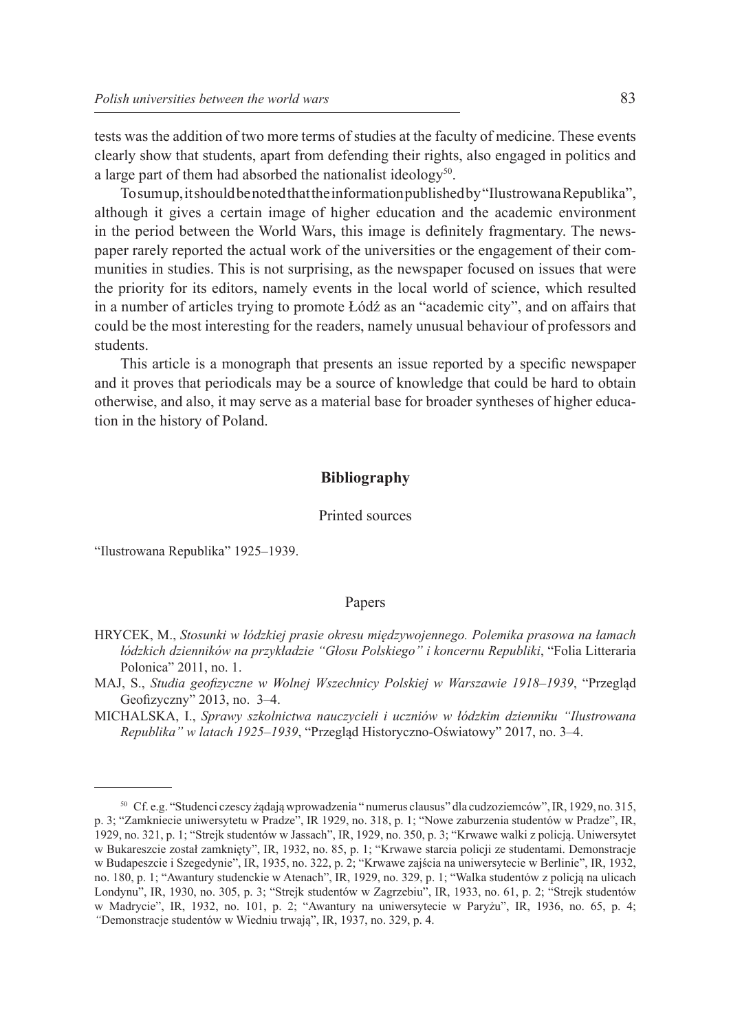tests was the addition of two more terms of studies at the faculty of medicine. These events clearly show that students, apart from defending their rights, also engaged in politics and a large part of them had absorbed the nationalist ideology<sup>50</sup>.

To sum up, it should be noted that the information published by "Ilustrowana Republika", although it gives a certain image of higher education and the academic environment in the period between the World Wars, this image is definitely fragmentary. The newspaper rarely reported the actual work of the universities or the engagement of their communities in studies. This is not surprising, as the newspaper focused on issues that were the priority for its editors, namely events in the local world of science, which resulted in a number of articles trying to promote Łódź as an "academic city", and on affairs that could be the most interesting for the readers, namely unusual behaviour of professors and students.

This article is a monograph that presents an issue reported by a specific newspaper and it proves that periodicals may be a source of knowledge that could be hard to obtain otherwise, and also, it may serve as a material base for broader syntheses of higher education in the history of Poland.

## **Bibliography**

#### Printed sources

"Ilustrowana Republika" 1925–1939.

## Papers

- HRYCEK, M., *Stosunki w łódzkiej prasie okresu międzywojennego. Polemika prasowa na łamach łódzkich dzienników na przykładzie "Głosu Polskiego" i koncernu Republiki*, "Folia Litteraria Polonica" 2011, no. 1.
- MAJ, S., *Studia geofizyczne w Wolnej Wszechnicy Polskiej w Warszawie 1918–1939*, "Przegląd Geofizyczny" 2013, no. 3–4.
- MICHALSKA, I., *Sprawy szkolnictwa nauczycieli i uczniów w łódzkim dzienniku "Ilustrowana Republika" w latach 1925–1939*, "Przegląd Historyczno-Oświatowy" 2017, no. 3–4.

<sup>50</sup> Cf. e.g. "Studenci czescy żądają wprowadzenia " numerus clausus" dla cudzoziemców", IR, 1929, no. 315, p. 3; "Zamkniecie uniwersytetu w Pradze", IR 1929, no. 318, p. 1; "Nowe zaburzenia studentów w Pradze", IR, 1929, no. 321, p. 1; "Strejk studentów w Jassach", IR, 1929, no. 350, p. 3; "Krwawe walki z policją. Uniwersytet w Bukareszcie został zamknięty", IR, 1932, no. 85, p. 1; "Krwawe starcia policji ze studentami. Demonstracje w Budapeszcie i Szegedynie", IR, 1935, no. 322, p. 2; "Krwawe zajścia na uniwersytecie w Berlinie", IR, 1932, no. 180, p. 1; "Awantury studenckie w Atenach", IR, 1929, no. 329, p. 1; "Walka studentów z policją na ulicach Londynu", IR, 1930, no. 305, p. 3; "Strejk studentów w Zagrzebiu", IR, 1933, no. 61, p. 2; "Strejk studentów w Madrycie", IR, 1932, no. 101, p. 2; "Awantury na uniwersytecie w Paryżu", IR, 1936, no. 65, p. 4; *"*Demonstracje studentów w Wiedniu trwają", IR, 1937, no. 329, p. 4.